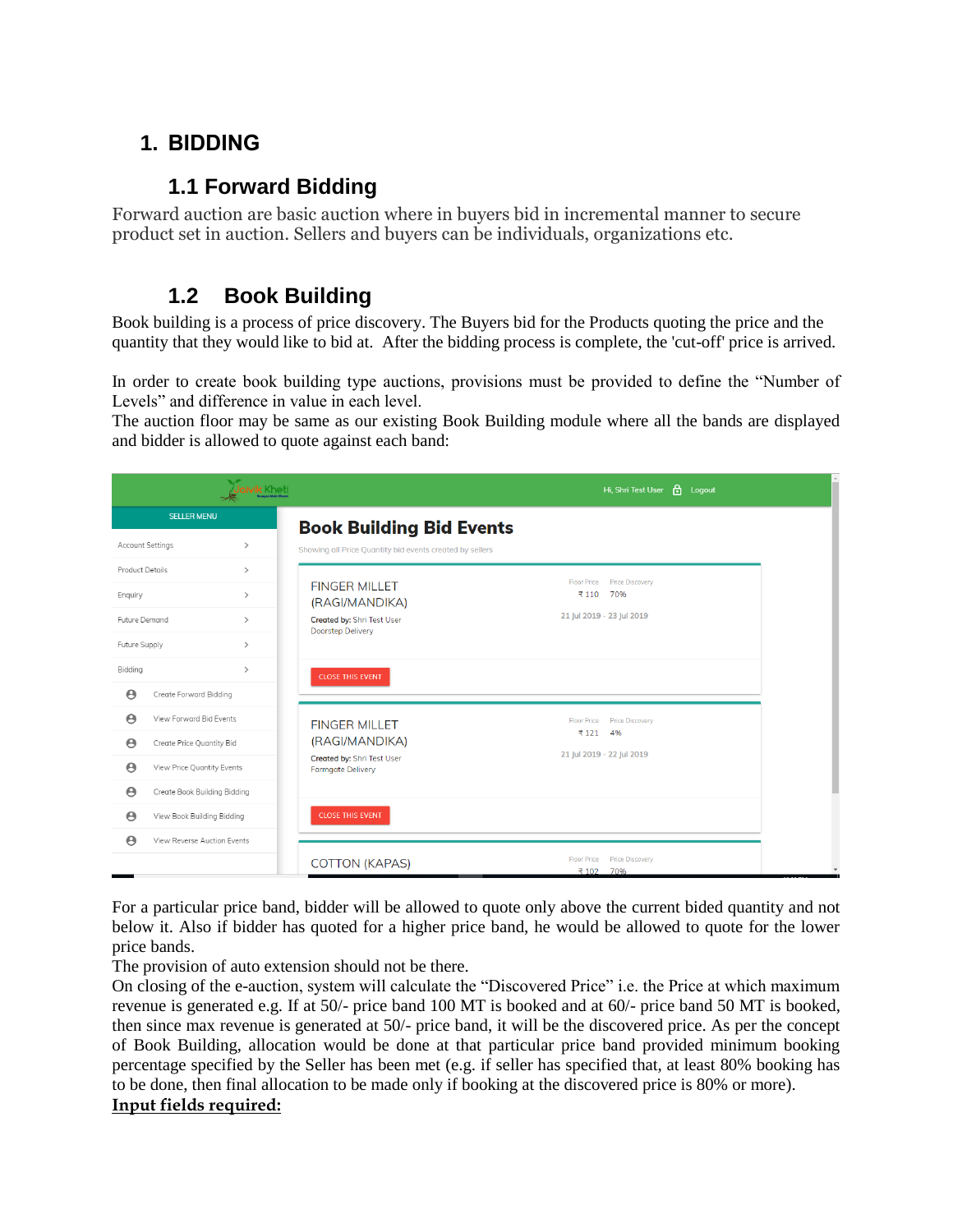# **1. BIDDING**

### **1.1 Forward Bidding**

Forward auction are basic auction where in buyers bid in incremental manner to secure product set in auction. Sellers and buyers can be individuals, organizations etc.

### **1.2 Book Building**

Book building is a process of price discovery. The Buyers bid for the Products quoting the price and the quantity that they would like to bid at. After the bidding process is complete, the 'cut-off' price is arrived.

In order to create book building type auctions, provisions must be provided to define the "Number of Levels" and difference in value in each level.

The auction floor may be same as our existing Book Building module where all the bands are displayed and bidder is allowed to quote against each band:

|                                                |                                                            | Jaivik Kheti                                                                             | <b>A</b><br>Hi, Shri Test User<br>Logout                                                 |
|------------------------------------------------|------------------------------------------------------------|------------------------------------------------------------------------------------------|------------------------------------------------------------------------------------------|
|                                                | <b>SELLER MENU</b>                                         |                                                                                          | <b>Book Building Bid Events</b>                                                          |
| Account Settings                               |                                                            | $\rightarrow$                                                                            | Showing all Price Quantity bid events created by sellers                                 |
| Product Details<br>Enquiry                     |                                                            | $\rightarrow$<br><b>FINGER MILLET</b><br>$\rightarrow$<br>(RAGI/MANDIKA)                 | <b>Floor Price</b><br><b>Price Discovery</b><br>₹110<br>70%<br>21 Jul 2019 - 23 Jul 2019 |
| Future Demand<br>Future Supply                 |                                                            | Created by: Shri Test User<br>$\rightarrow$<br><b>Doorstep Delivery</b><br>$\rightarrow$ |                                                                                          |
| Bidding<br>$\boldsymbol{\Theta}$               | Create Forward Bidding                                     | $\rightarrow$<br><b>CLOSE THIS EVENT</b>                                                 |                                                                                          |
| $\boldsymbol{\Theta}$<br>$\boldsymbol{\Theta}$ | View Forward Bid Events<br>Create Price Quantity Bid       | <b>FINGER MILLET</b><br>(RAGI/MANDIKA)                                                   | <b>Floor Price</b><br><b>Price Discovery</b><br>4%<br>₹121                               |
| $\boldsymbol{\Theta}$<br>Θ                     | View Price Quantity Events<br>Create Book Building Bidding | Created by: Shri Test User<br><b>Farmgate Delivery</b>                                   | 21 Jul 2019 - 22 Jul 2019                                                                |
| $\boldsymbol{\Theta}$                          | View Book Building Bidding                                 | <b>CLOSE THIS EVENT</b>                                                                  |                                                                                          |
| $\boldsymbol{\Theta}$                          | View Reverse Auction Events                                | <b>COTTON (KAPAS)</b>                                                                    | <b>Price Discovery</b><br><b>Floor Price</b><br>70%<br>₹102                              |

For a particular price band, bidder will be allowed to quote only above the current bided quantity and not below it. Also if bidder has quoted for a higher price band, he would be allowed to quote for the lower price bands.

The provision of auto extension should not be there.

On closing of the e-auction, system will calculate the "Discovered Price" i.e. the Price at which maximum revenue is generated e.g. If at 50/- price band 100 MT is booked and at 60/- price band 50 MT is booked, then since max revenue is generated at 50/- price band, it will be the discovered price. As per the concept of Book Building, allocation would be done at that particular price band provided minimum booking percentage specified by the Seller has been met (e.g. if seller has specified that, at least 80% booking has to be done, then final allocation to be made only if booking at the discovered price is 80% or more).

#### **Input fields required:**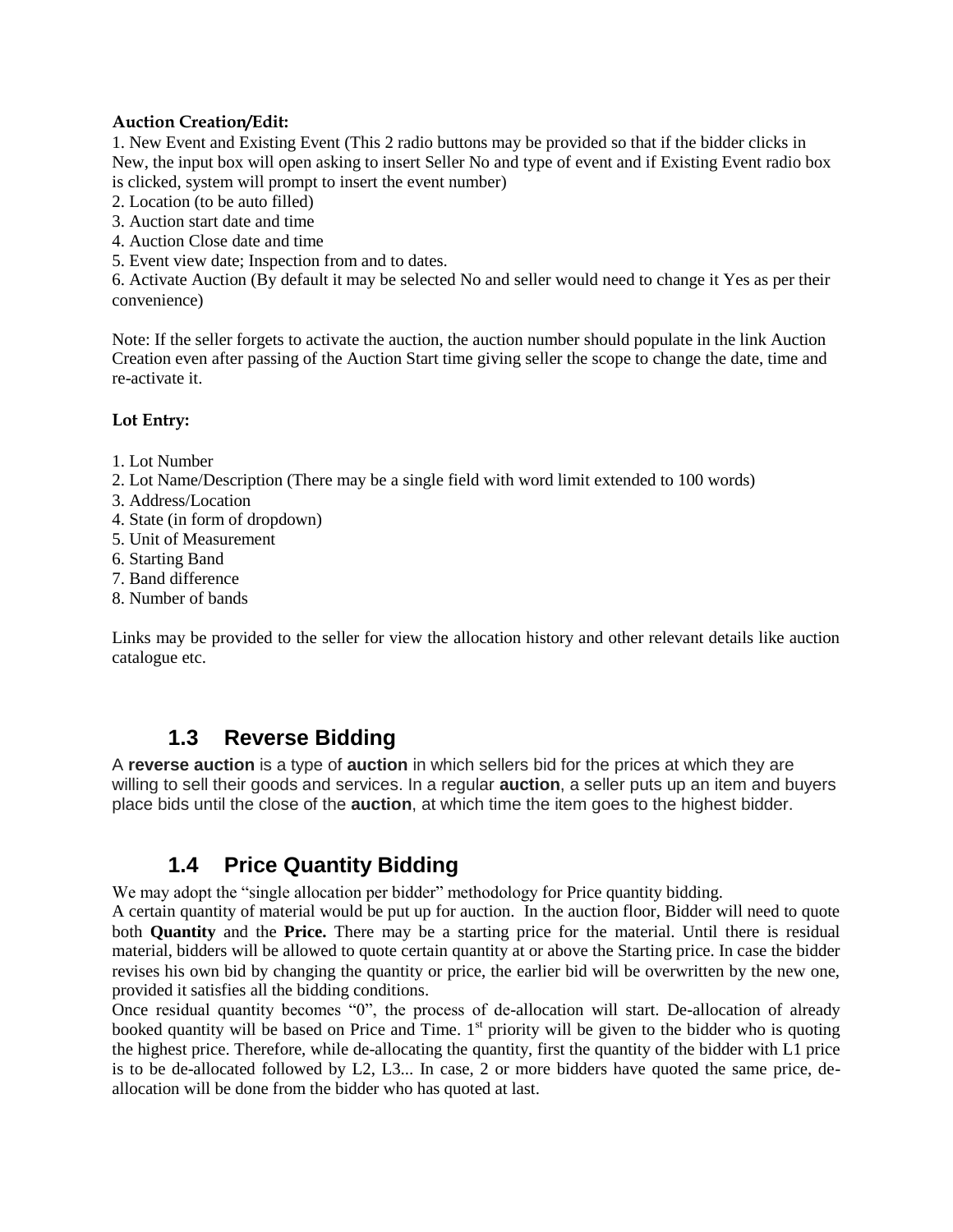#### **Auction Creation/Edit:**

1. New Event and Existing Event (This 2 radio buttons may be provided so that if the bidder clicks in New, the input box will open asking to insert Seller No and type of event and if Existing Event radio box is clicked, system will prompt to insert the event number)

- 2. Location (to be auto filled)
- 3. Auction start date and time
- 4. Auction Close date and time
- 5. Event view date; Inspection from and to dates.

6. Activate Auction (By default it may be selected No and seller would need to change it Yes as per their convenience)

Note: If the seller forgets to activate the auction, the auction number should populate in the link Auction Creation even after passing of the Auction Start time giving seller the scope to change the date, time and re-activate it.

#### **Lot Entry:**

- 1. Lot Number
- 2. Lot Name/Description (There may be a single field with word limit extended to 100 words)
- 3. Address/Location
- 4. State (in form of dropdown)
- 5. Unit of Measurement
- 6. Starting Band
- 7. Band difference
- 8. Number of bands

Links may be provided to the seller for view the allocation history and other relevant details like auction catalogue etc.

### **1.3 Reverse Bidding**

A **reverse auction** is a type of **auction** in which sellers bid for the prices at which they are willing to sell their goods and services. In a regular **auction**, a seller puts up an item and buyers place bids until the close of the **auction**, at which time the item goes to the highest bidder.

# **1.4 Price Quantity Bidding**

We may adopt the "single allocation per bidder" methodology for Price quantity bidding.

A certain quantity of material would be put up for auction. In the auction floor, Bidder will need to quote both **Quantity** and the **Price.** There may be a starting price for the material. Until there is residual material, bidders will be allowed to quote certain quantity at or above the Starting price. In case the bidder revises his own bid by changing the quantity or price, the earlier bid will be overwritten by the new one, provided it satisfies all the bidding conditions.

Once residual quantity becomes "0", the process of de-allocation will start. De-allocation of already booked quantity will be based on Price and Time.  $1<sup>st</sup>$  priority will be given to the bidder who is quoting the highest price. Therefore, while de-allocating the quantity, first the quantity of the bidder with L1 price is to be de-allocated followed by L2, L3... In case, 2 or more bidders have quoted the same price, deallocation will be done from the bidder who has quoted at last.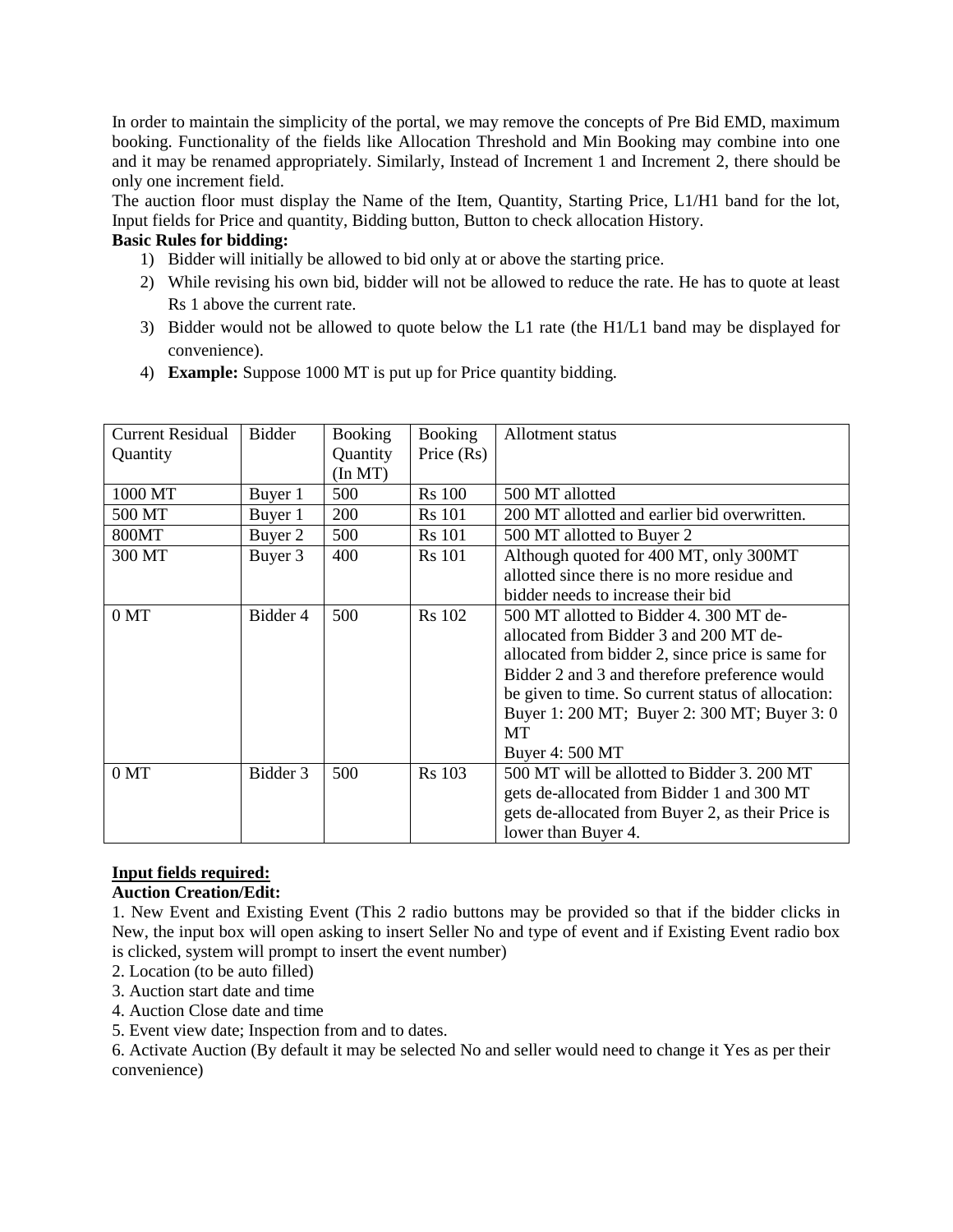In order to maintain the simplicity of the portal, we may remove the concepts of Pre Bid EMD, maximum booking. Functionality of the fields like Allocation Threshold and Min Booking may combine into one and it may be renamed appropriately. Similarly, Instead of Increment 1 and Increment 2, there should be only one increment field.

The auction floor must display the Name of the Item, Quantity, Starting Price, L1/H1 band for the lot, Input fields for Price and quantity, Bidding button, Button to check allocation History.

#### **Basic Rules for bidding:**

- 1) Bidder will initially be allowed to bid only at or above the starting price.
- 2) While revising his own bid, bidder will not be allowed to reduce the rate. He has to quote at least Rs 1 above the current rate.
- 3) Bidder would not be allowed to quote below the L1 rate (the H1/L1 band may be displayed for convenience).
- 4) **Example:** Suppose 1000 MT is put up for Price quantity bidding.

| <b>Current Residual</b> | <b>Bidder</b> | <b>Booking</b>   | <b>Booking</b> | Allotment status                                   |
|-------------------------|---------------|------------------|----------------|----------------------------------------------------|
| Quantity                |               | Quantity         | Price $(Rs)$   |                                                    |
|                         |               | $(\text{In MT})$ |                |                                                    |
| 1000 MT                 | Buyer 1       | 500              | <b>Rs</b> 100  | 500 MT allotted                                    |
| 500 MT                  | Buyer 1       | 200              | <b>Rs</b> 101  | 200 MT allotted and earlier bid overwritten.       |
| 800MT                   | Buyer 2       | 500              | <b>Rs</b> 101  | 500 MT allotted to Buyer 2                         |
| 300 MT                  | Buyer 3       | 400              | <b>Rs</b> 101  | Although quoted for 400 MT, only 300MT             |
|                         |               |                  |                | allotted since there is no more residue and        |
|                         |               |                  |                | bidder needs to increase their bid                 |
| 0 <sub>MT</sub>         | Bidder 4      | 500              | <b>Rs</b> 102  | 500 MT allotted to Bidder 4, 300 MT de-            |
|                         |               |                  |                | allocated from Bidder 3 and 200 MT de-             |
|                         |               |                  |                | allocated from bidder 2, since price is same for   |
|                         |               |                  |                | Bidder 2 and 3 and therefore preference would      |
|                         |               |                  |                | be given to time. So current status of allocation: |
|                         |               |                  |                | Buyer 1: 200 MT; Buyer 2: 300 MT; Buyer 3: 0       |
|                         |               |                  |                | MT                                                 |
|                         |               |                  |                | Buyer 4: 500 MT                                    |
| 0 <sub>MT</sub>         | Bidder 3      | 500              | <b>Rs</b> 103  | 500 MT will be allotted to Bidder 3. 200 MT        |
|                         |               |                  |                | gets de-allocated from Bidder 1 and 300 MT         |
|                         |               |                  |                | gets de-allocated from Buyer 2, as their Price is  |
|                         |               |                  |                | lower than Buyer 4.                                |

#### **Input fields required: Auction Creation/Edit:**

1. New Event and Existing Event (This 2 radio buttons may be provided so that if the bidder clicks in New, the input box will open asking to insert Seller No and type of event and if Existing Event radio box is clicked, system will prompt to insert the event number)

- 2. Location (to be auto filled)
- 3. Auction start date and time
- 4. Auction Close date and time
- 5. Event view date; Inspection from and to dates.

6. Activate Auction (By default it may be selected No and seller would need to change it Yes as per their convenience)